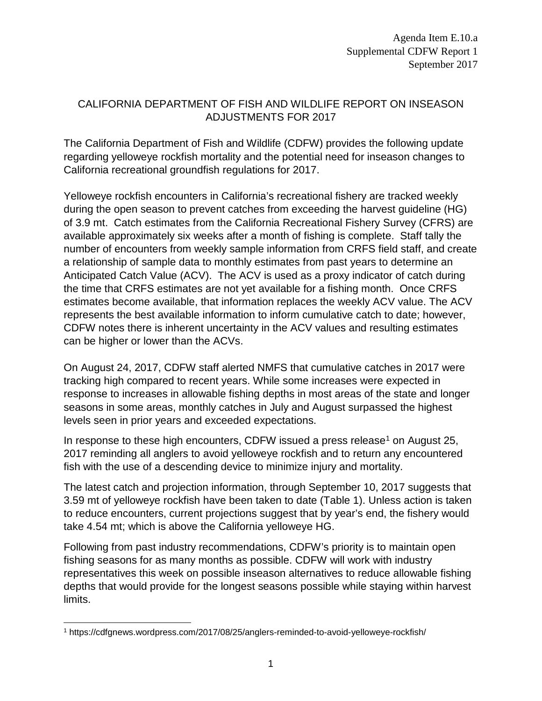## CALIFORNIA DEPARTMENT OF FISH AND WILDLIFE REPORT ON INSEASON ADJUSTMENTS FOR 2017

The California Department of Fish and Wildlife (CDFW) provides the following update regarding yelloweye rockfish mortality and the potential need for inseason changes to California recreational groundfish regulations for 2017.

Yelloweye rockfish encounters in California's recreational fishery are tracked weekly during the open season to prevent catches from exceeding the harvest guideline (HG) of 3.9 mt. Catch estimates from the California Recreational Fishery Survey (CFRS) are available approximately six weeks after a month of fishing is complete. Staff tally the number of encounters from weekly sample information from CRFS field staff, and create a relationship of sample data to monthly estimates from past years to determine an Anticipated Catch Value (ACV). The ACV is used as a proxy indicator of catch during the time that CRFS estimates are not yet available for a fishing month. Once CRFS estimates become available, that information replaces the weekly ACV value. The ACV represents the best available information to inform cumulative catch to date; however, CDFW notes there is inherent uncertainty in the ACV values and resulting estimates can be higher or lower than the ACVs.

On August 24, 2017, CDFW staff alerted NMFS that cumulative catches in 2017 were tracking high compared to recent years. While some increases were expected in response to increases in allowable fishing depths in most areas of the state and longer seasons in some areas, monthly catches in July and August surpassed the highest levels seen in prior years and exceeded expectations.

In response to these high encounters, CDFW issued a press release<sup>[1](#page-0-0)</sup> on August 25, 2017 reminding all anglers to avoid yelloweye rockfish and to return any encountered fish with the use of a descending device to minimize injury and mortality.

The latest catch and projection information, through September 10, 2017 suggests that 3.59 mt of yelloweye rockfish have been taken to date (Table 1). Unless action is taken to reduce encounters, current projections suggest that by year's end, the fishery would take 4.54 mt; which is above the California yelloweye HG.

Following from past industry recommendations, CDFW's priority is to maintain open fishing seasons for as many months as possible. CDFW will work with industry representatives this week on possible inseason alternatives to reduce allowable fishing depths that would provide for the longest seasons possible while staying within harvest limits.

<span id="page-0-0"></span> <sup>1</sup> https://cdfgnews.wordpress.com/2017/08/25/anglers-reminded-to-avoid-yelloweye-rockfish/